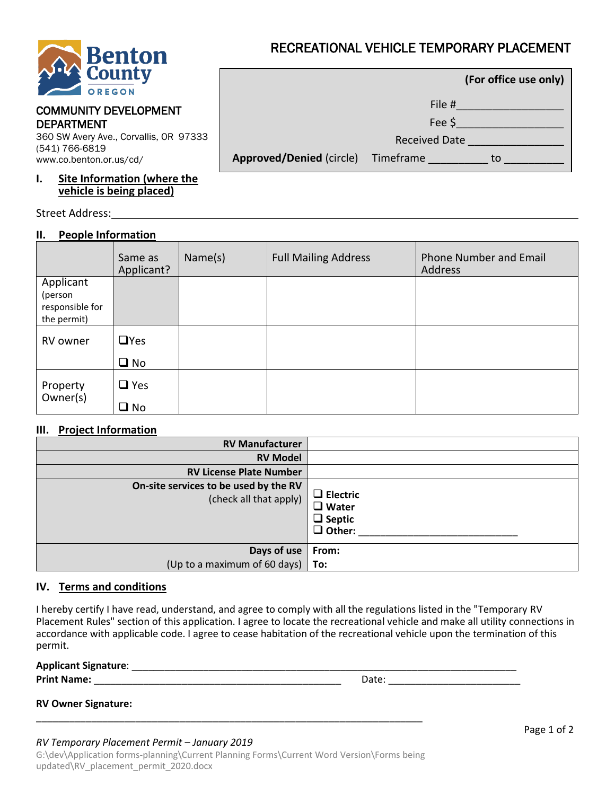

## COMMUNITY DEVELOPMENT DEPARTMENT

360 SW Avery Ave., Corvallis, OR 97333 (541) 766-6819 www.co.benton.or.us/cd/

## **I. Site Information (where the vehicle is being placed)**

Street Address:

# **II. People Information**

|                                           |                      | (For office use only) |
|-------------------------------------------|----------------------|-----------------------|
|                                           | File #               |                       |
|                                           | Fee \$               |                       |
|                                           | <b>Received Date</b> |                       |
| <b>Approved/Denied (circle)</b> Timeframe |                      | τо                    |

|                      | Same as<br>Applicant? | Name(s) | <b>Full Mailing Address</b> | <b>Phone Number and Email</b><br>Address |
|----------------------|-----------------------|---------|-----------------------------|------------------------------------------|
| Applicant            |                       |         |                             |                                          |
| (person              |                       |         |                             |                                          |
| responsible for      |                       |         |                             |                                          |
| the permit)          |                       |         |                             |                                          |
| RV owner             | $\Box$ Yes            |         |                             |                                          |
|                      | $\square$ No          |         |                             |                                          |
| Property<br>Owner(s) | $\Box$ Yes            |         |                             |                                          |
|                      | $\square$ No          |         |                             |                                          |

# **III. Project Information**

| <b>RV Manufacturer</b>                                          |                                                                   |
|-----------------------------------------------------------------|-------------------------------------------------------------------|
| <b>RV Model</b>                                                 |                                                                   |
| <b>RV License Plate Number</b>                                  |                                                                   |
| On-site services to be used by the RV<br>(check all that apply) | $\Box$ Electric<br>$\Box$ Water<br>$\Box$ Septic<br>$\Box$ Other: |
| Days of use   From:                                             |                                                                   |
| (Up to a maximum of 60 days) $\vert$ To:                        |                                                                   |

# **IV. Terms and conditions**

I hereby certify I have read, understand, and agree to comply with all the regulations listed in the "Temporary RV Placement Rules" section of this application. I agree to locate the recreational vehicle and make all utility connections in accordance with applicable code. I agree to cease habitation of the recreational vehicle upon the termination of this permit.

| <b>Applicant Signature:</b> |      |
|-----------------------------|------|
| <b>Print Name:</b>          | Date |
|                             |      |

|  | <b>RV Owner Signature:</b> |
|--|----------------------------|
|--|----------------------------|

## *RV Temporary Placement Permit – January 2019*

G:\dev\Application forms-planning\Current Planning Forms\Current Word Version\Forms being updated\RV\_placement\_permit\_2020.docx

\_\_\_\_\_\_\_\_\_\_\_\_\_\_\_\_\_\_\_\_\_\_\_\_\_\_\_\_\_\_\_\_\_\_\_\_\_\_\_\_\_\_\_\_\_\_\_\_\_\_\_\_\_\_\_\_\_\_\_\_\_\_\_\_\_\_\_\_\_\_